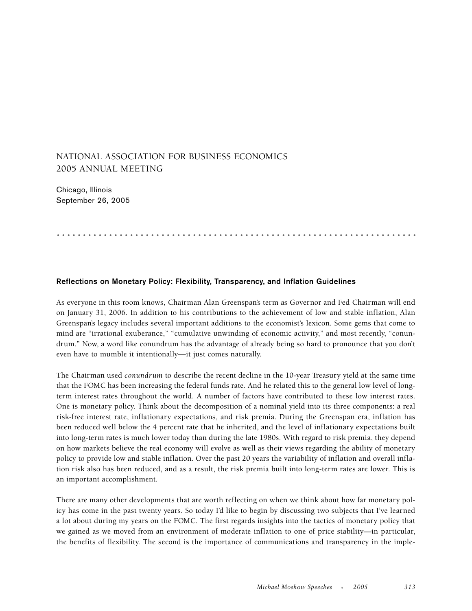## NATIONAL ASSOCIATION FOR BUSINESS ECONOMICS 2005 ANNUAL MEETING

Chicago, Illinois September 26, 2005

# **Reflections on Monetary Policy: Flexibility, Transparency, and Inflation Guidelines**

As everyone in this room knows, Chairman Alan Greenspan's term as Governor and Fed Chairman will end on January 31, 2006. In addition to his contributions to the achievement of low and stable inflation, Alan Greenspan's legacy includes several important additions to the economist's lexicon. Some gems that come to mind are "irrational exuberance," "cumulative unwinding of economic activity," and most recently, "conundrum." Now, a word like conundrum has the advantage of already being so hard to pronounce that you don't even have to mumble it intentionally—it just comes naturally.

.....................................................................

The Chairman used *conundrum* to describe the recent decline in the 10-year Treasury yield at the same time that the FOMC has been increasing the federal funds rate. And he related this to the general low level of longterm interest rates throughout the world. A number of factors have contributed to these low interest rates. One is monetary policy. Think about the decomposition of a nominal yield into its three components: a real risk-free interest rate, inflationary expectations, and risk premia. During the Greenspan era, inflation has been reduced well below the 4 percent rate that he inherited, and the level of inflationary expectations built into long-term rates is much lower today than during the late 1980s. With regard to risk premia, they depend on how markets believe the real economy will evolve as well as their views regarding the ability of monetary policy to provide low and stable inflation. Over the past 20 years the variability of inflation and overall inflation risk also has been reduced, and as a result, the risk premia built into long-term rates are lower. This is an important accomplishment.

There are many other developments that are worth reflecting on when we think about how far monetary policy has come in the past twenty years. So today I'd like to begin by discussing two subjects that I've learned a lot about during my years on the FOMC. The first regards insights into the tactics of monetary policy that we gained as we moved from an environment of moderate inflation to one of price stability—in particular, the benefits of flexibility. The second is the importance of communications and transparency in the imple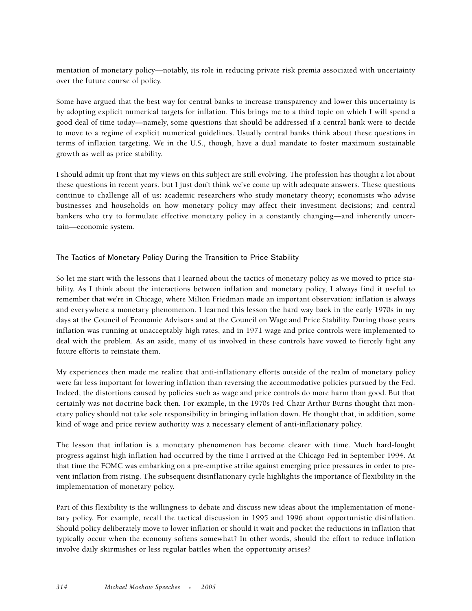mentation of monetary policy—notably, its role in reducing private risk premia associated with uncertainty over the future course of policy.

Some have argued that the best way for central banks to increase transparency and lower this uncertainty is by adopting explicit numerical targets for inflation. This brings me to a third topic on which I will spend a good deal of time today—namely, some questions that should be addressed if a central bank were to decide to move to a regime of explicit numerical guidelines. Usually central banks think about these questions in terms of inflation targeting. We in the U.S., though, have a dual mandate to foster maximum sustainable growth as well as price stability.

I should admit up front that my views on this subject are still evolving. The profession has thought a lot about these questions in recent years, but I just don't think we've come up with adequate answers. These questions continue to challenge all of us: academic researchers who study monetary theory; economists who advise businesses and households on how monetary policy may affect their investment decisions; and central bankers who try to formulate effective monetary policy in a constantly changing—and inherently uncertain—economic system.

### The Tactics of Monetary Policy During the Transition to Price Stability

So let me start with the lessons that I learned about the tactics of monetary policy as we moved to price stability. As I think about the interactions between inflation and monetary policy, I always find it useful to remember that we're in Chicago, where Milton Friedman made an important observation: inflation is always and everywhere a monetary phenomenon. I learned this lesson the hard way back in the early 1970s in my days at the Council of Economic Advisors and at the Council on Wage and Price Stability. During those years inflation was running at unacceptably high rates, and in 1971 wage and price controls were implemented to deal with the problem. As an aside, many of us involved in these controls have vowed to fiercely fight any future efforts to reinstate them.

My experiences then made me realize that anti-inflationary efforts outside of the realm of monetary policy were far less important for lowering inflation than reversing the accommodative policies pursued by the Fed. Indeed, the distortions caused by policies such as wage and price controls do more harm than good. But that certainly was not doctrine back then. For example, in the 1970s Fed Chair Arthur Burns thought that monetary policy should not take sole responsibility in bringing inflation down. He thought that, in addition, some kind of wage and price review authority was a necessary element of anti-inflationary policy.

The lesson that inflation is a monetary phenomenon has become clearer with time. Much hard-fought progress against high inflation had occurred by the time I arrived at the Chicago Fed in September 1994. At that time the FOMC was embarking on a pre-emptive strike against emerging price pressures in order to prevent inflation from rising. The subsequent disinflationary cycle highlights the importance of flexibility in the implementation of monetary policy.

Part of this flexibility is the willingness to debate and discuss new ideas about the implementation of monetary policy. For example, recall the tactical discussion in 1995 and 1996 about opportunistic disinflation. Should policy deliberately move to lower inflation or should it wait and pocket the reductions in inflation that typically occur when the economy softens somewhat? In other words, should the effort to reduce inflation involve daily skirmishes or less regular battles when the opportunity arises?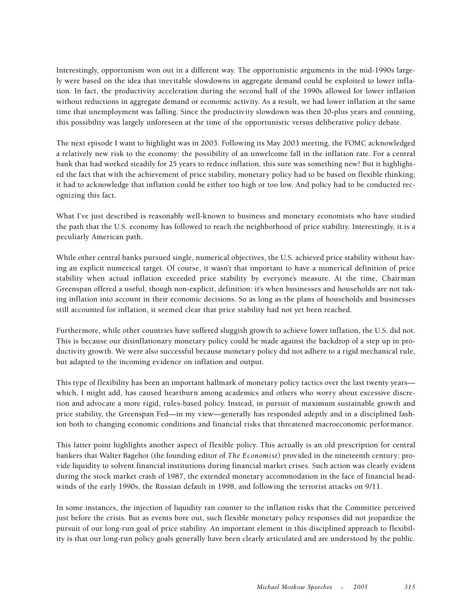Interestingly, opportunism won out in a different way. The opportunistic arguments in the mid-1990s largely were based on the idea that inevitable slowdowns in aggregate demand could be exploited to lower inflation. In fact, the productivity acceleration during the second half of the 1990s allowed for lower inflation without reductions in aggregate demand or economic activity. As a result, we had lower inflation at the same time that unemployment was falling. Since the productivity slowdown was then 20-plus years and counting, this possibility was largely unforeseen at the time of the opportunistic versus deliberative policy debate.

The next episode I want to highlight was in 2003. Following its May 2003 meeting, the FOMC acknowledged a relatively new risk to the economy: the possibility of an unwelcome fall in the inflation rate. For a central bank that had worked steadily for 25 years to reduce inflation, this sure was something new! But it highlighted the fact that with the achievement of price stability, monetary policy had to be based on flexible thinking; it had to acknowledge that inflation could be either too high or too low. And policy had to be conducted recognizing this fact.

What I've just described is reasonably well-known to business and monetary economists who have studied the path that the U.S. economy has followed to reach the neighborhood of price stability. Interestingly, it is a peculiarly American path.

While other central banks pursued single, numerical objectives, the U.S. achieved price stability without having an explicit numerical target. Of course, it wasn't that important to have a numerical definition of price stability when actual inflation exceeded price stability by everyone's measure. At the time, Chairman Greenspan offered a useful, though non-explicit, definition: it's when businesses and households are not taking inflation into account in their economic decisions. So as long as the plans of households and businesses still accounted for inflation, it seemed clear that price stability had not yet been reached.

Furthermore, while other countries have suffered sluggish growth to achieve lower inflation, the U.S. did not. This is because our disinflationary monetary policy could be made against the backdrop of a step up in productivity growth. We were also successful because monetary policy did not adhere to a rigid mechanical rule, but adapted to the incoming evidence on inflation and output.

This type of flexibility has been an important hallmark of monetary policy tactics over the last twenty years which, I might add, has caused heartburn among academics and others who worry about excessive discretion and advocate a more rigid, rules-based policy. Instead, in pursuit of maximum sustainable growth and price stability, the Greenspan Fed—in my view—generally has responded adeptly and in a disciplined fashion both to changing economic conditions and financial risks that threatened macroeconomic performance.

This latter point highlights another aspect of flexible policy. This actually is an old prescription for central bankers that Walter Bagehot (the founding editor of *The Economist*) provided in the nineteenth century: provide liquidity to solvent financial institutions during financial market crises. Such action was clearly evident during the stock market crash of 1987, the extended monetary accommodation in the face of financial headwinds of the early 1990s, the Russian default in 1998, and following the terrorist attacks on 9/11.

In some instances, the injection of liquidity ran counter to the inflation risks that the Committee perceived just before the crisis. But as events bore out, such flexible monetary policy responses did not jeopardize the pursuit of our long-run goal of price stability. An important element in this disciplined approach to flexibility is that our long-run policy goals generally have been clearly articulated and are understood by the public.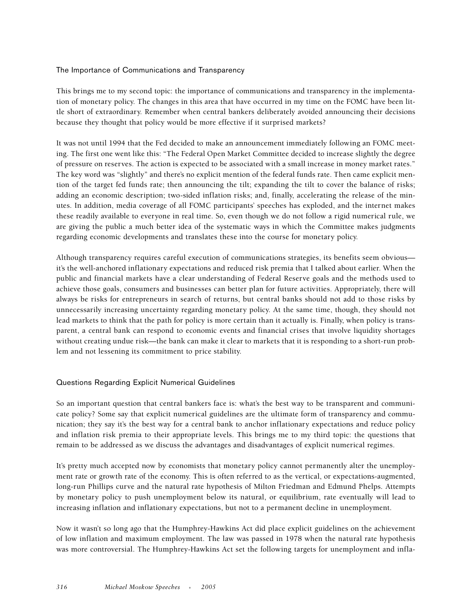#### The Importance of Communications and Transparency

This brings me to my second topic: the importance of communications and transparency in the implementation of monetary policy. The changes in this area that have occurred in my time on the FOMC have been little short of extraordinary. Remember when central bankers deliberately avoided announcing their decisions because they thought that policy would be more effective if it surprised markets?

It was not until 1994 that the Fed decided to make an announcement immediately following an FOMC meeting. The first one went like this: "The Federal Open Market Committee decided to increase slightly the degree of pressure on reserves. The action is expected to be associated with a small increase in money market rates." The key word was "slightly" and there's no explicit mention of the federal funds rate. Then came explicit mention of the target fed funds rate; then announcing the tilt; expanding the tilt to cover the balance of risks; adding an economic description; two-sided inflation risks; and, finally, accelerating the release of the minutes. In addition, media coverage of all FOMC participants' speeches has exploded, and the internet makes these readily available to everyone in real time. So, even though we do not follow a rigid numerical rule, we are giving the public a much better idea of the systematic ways in which the Committee makes judgments regarding economic developments and translates these into the course for monetary policy.

Although transparency requires careful execution of communications strategies, its benefits seem obvious it's the well-anchored inflationary expectations and reduced risk premia that I talked about earlier. When the public and financial markets have a clear understanding of Federal Reserve goals and the methods used to achieve those goals, consumers and businesses can better plan for future activities. Appropriately, there will always be risks for entrepreneurs in search of returns, but central banks should not add to those risks by unnecessarily increasing uncertainty regarding monetary policy. At the same time, though, they should not lead markets to think that the path for policy is more certain than it actually is. Finally, when policy is transparent, a central bank can respond to economic events and financial crises that involve liquidity shortages without creating undue risk—the bank can make it clear to markets that it is responding to a short-run problem and not lessening its commitment to price stability.

#### Questions Regarding Explicit Numerical Guidelines

So an important question that central bankers face is: what's the best way to be transparent and communicate policy? Some say that explicit numerical guidelines are the ultimate form of transparency and communication; they say it's the best way for a central bank to anchor inflationary expectations and reduce policy and inflation risk premia to their appropriate levels. This brings me to my third topic: the questions that remain to be addressed as we discuss the advantages and disadvantages of explicit numerical regimes.

It's pretty much accepted now by economists that monetary policy cannot permanently alter the unemployment rate or growth rate of the economy. This is often referred to as the vertical, or expectations-augmented, long-run Phillips curve and the natural rate hypothesis of Milton Friedman and Edmund Phelps. Attempts by monetary policy to push unemployment below its natural, or equilibrium, rate eventually will lead to increasing inflation and inflationary expectations, but not to a permanent decline in unemployment.

Now it wasn't so long ago that the Humphrey-Hawkins Act did place explicit guidelines on the achievement of low inflation and maximum employment. The law was passed in 1978 when the natural rate hypothesis was more controversial. The Humphrey-Hawkins Act set the following targets for unemployment and infla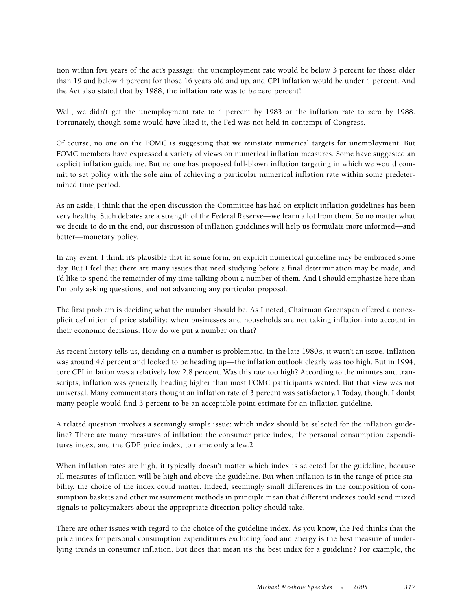tion within five years of the act's passage: the unemployment rate would be below 3 percent for those older than 19 and below 4 percent for those 16 years old and up, and CPI inflation would be under 4 percent. And the Act also stated that by 1988, the inflation rate was to be zero percent!

Well, we didn't get the unemployment rate to 4 percent by 1983 or the inflation rate to zero by 1988. Fortunately, though some would have liked it, the Fed was not held in contempt of Congress.

Of course, no one on the FOMC is suggesting that we reinstate numerical targets for unemployment. But FOMC members have expressed a variety of views on numerical inflation measures. Some have suggested an explicit inflation guideline. But no one has proposed full-blown inflation targeting in which we would commit to set policy with the sole aim of achieving a particular numerical inflation rate within some predetermined time period.

As an aside, I think that the open discussion the Committee has had on explicit inflation guidelines has been very healthy. Such debates are a strength of the Federal Reserve—we learn a lot from them. So no matter what we decide to do in the end, our discussion of inflation guidelines will help us formulate more informed—and better—monetary policy.

In any event, I think it's plausible that in some form, an explicit numerical guideline may be embraced some day. But I feel that there are many issues that need studying before a final determination may be made, and I'd like to spend the remainder of my time talking about a number of them. And I should emphasize here than I'm only asking questions, and not advancing any particular proposal.

The first problem is deciding what the number should be. As I noted, Chairman Greenspan offered a nonexplicit definition of price stability: when businesses and households are not taking inflation into account in their economic decisions. How do we put a number on that?

As recent history tells us, deciding on a number is problematic. In the late 1980's, it wasn't an issue. Inflation was around 41 ⁄2 percent and looked to be heading up—the inflation outlook clearly was too high. But in 1994, core CPI inflation was a relatively low 2.8 percent. Was this rate too high? According to the minutes and transcripts, inflation was generally heading higher than most FOMC participants wanted. But that view was not universal. Many commentators thought an inflation rate of 3 percent was satisfactory.1 Today, though, I doubt many people would find 3 percent to be an acceptable point estimate for an inflation guideline.

A related question involves a seemingly simple issue: which index should be selected for the inflation guideline? There are many measures of inflation: the consumer price index, the personal consumption expenditures index, and the GDP price index, to name only a few.2

When inflation rates are high, it typically doesn't matter which index is selected for the guideline, because all measures of inflation will be high and above the guideline. But when inflation is in the range of price stability, the choice of the index could matter. Indeed, seemingly small differences in the composition of consumption baskets and other measurement methods in principle mean that different indexes could send mixed signals to policymakers about the appropriate direction policy should take.

There are other issues with regard to the choice of the guideline index. As you know, the Fed thinks that the price index for personal consumption expenditures excluding food and energy is the best measure of underlying trends in consumer inflation. But does that mean it's the best index for a guideline? For example, the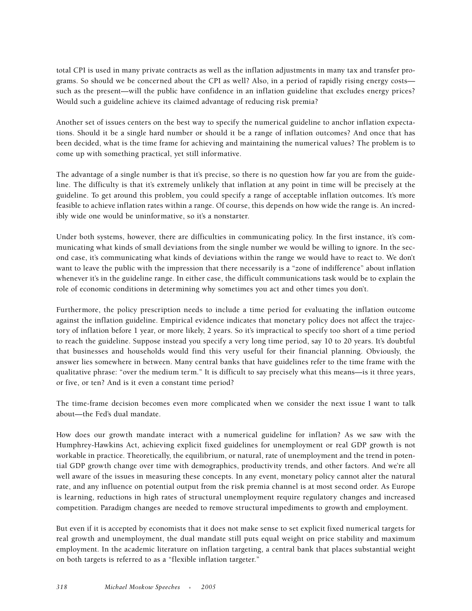total CPI is used in many private contracts as well as the inflation adjustments in many tax and transfer programs. So should we be concerned about the CPI as well? Also, in a period of rapidly rising energy costs such as the present—will the public have confidence in an inflation guideline that excludes energy prices? Would such a guideline achieve its claimed advantage of reducing risk premia?

Another set of issues centers on the best way to specify the numerical guideline to anchor inflation expectations. Should it be a single hard number or should it be a range of inflation outcomes? And once that has been decided, what is the time frame for achieving and maintaining the numerical values? The problem is to come up with something practical, yet still informative.

The advantage of a single number is that it's precise, so there is no question how far you are from the guideline. The difficulty is that it's extremely unlikely that inflation at any point in time will be precisely at the guideline. To get around this problem, you could specify a range of acceptable inflation outcomes. It's more feasible to achieve inflation rates within a range. Of course, this depends on how wide the range is. An incredibly wide one would be uninformative, so it's a nonstarter.

Under both systems, however, there are difficulties in communicating policy. In the first instance, it's communicating what kinds of small deviations from the single number we would be willing to ignore. In the second case, it's communicating what kinds of deviations within the range we would have to react to. We don't want to leave the public with the impression that there necessarily is a "zone of indifference" about inflation whenever it's in the guideline range. In either case, the difficult communications task would be to explain the role of economic conditions in determining why sometimes you act and other times you don't.

Furthermore, the policy prescription needs to include a time period for evaluating the inflation outcome against the inflation guideline. Empirical evidence indicates that monetary policy does not affect the trajectory of inflation before 1 year, or more likely, 2 years. So it's impractical to specify too short of a time period to reach the guideline. Suppose instead you specify a very long time period, say 10 to 20 years. It's doubtful that businesses and households would find this very useful for their financial planning. Obviously, the answer lies somewhere in between. Many central banks that have guidelines refer to the time frame with the qualitative phrase: "over the medium term." It is difficult to say precisely what this means—is it three years, or five, or ten? And is it even a constant time period?

The time-frame decision becomes even more complicated when we consider the next issue I want to talk about—the Fed's dual mandate.

How does our growth mandate interact with a numerical guideline for inflation? As we saw with the Humphrey-Hawkins Act, achieving explicit fixed guidelines for unemployment or real GDP growth is not workable in practice. Theoretically, the equilibrium, or natural, rate of unemployment and the trend in potential GDP growth change over time with demographics, productivity trends, and other factors. And we're all well aware of the issues in measuring these concepts. In any event, monetary policy cannot alter the natural rate, and any influence on potential output from the risk premia channel is at most second order. As Europe is learning, reductions in high rates of structural unemployment require regulatory changes and increased competition. Paradigm changes are needed to remove structural impediments to growth and employment.

But even if it is accepted by economists that it does not make sense to set explicit fixed numerical targets for real growth and unemployment, the dual mandate still puts equal weight on price stability and maximum employment. In the academic literature on inflation targeting, a central bank that places substantial weight on both targets is referred to as a "flexible inflation targeter."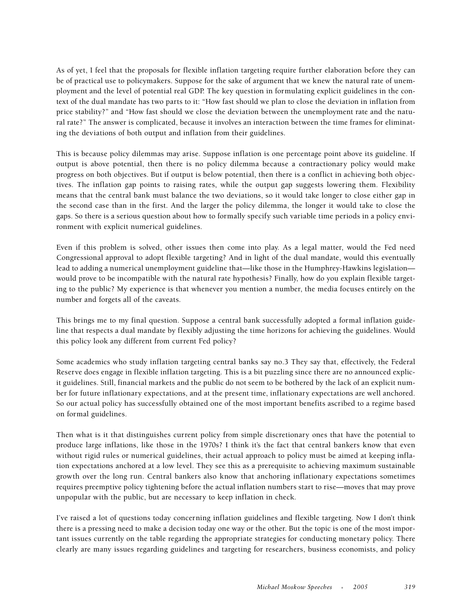As of yet, I feel that the proposals for flexible inflation targeting require further elaboration before they can be of practical use to policymakers. Suppose for the sake of argument that we knew the natural rate of unemployment and the level of potential real GDP. The key question in formulating explicit guidelines in the context of the dual mandate has two parts to it: "How fast should we plan to close the deviation in inflation from price stability?" and "How fast should we close the deviation between the unemployment rate and the natural rate?" The answer is complicated, because it involves an interaction between the time frames for eliminating the deviations of both output and inflation from their guidelines.

This is because policy dilemmas may arise. Suppose inflation is one percentage point above its guideline. If output is above potential, then there is no policy dilemma because a contractionary policy would make progress on both objectives. But if output is below potential, then there is a conflict in achieving both objectives. The inflation gap points to raising rates, while the output gap suggests lowering them. Flexibility means that the central bank must balance the two deviations, so it would take longer to close either gap in the second case than in the first. And the larger the policy dilemma, the longer it would take to close the gaps. So there is a serious question about how to formally specify such variable time periods in a policy environment with explicit numerical guidelines.

Even if this problem is solved, other issues then come into play. As a legal matter, would the Fed need Congressional approval to adopt flexible targeting? And in light of the dual mandate, would this eventually lead to adding a numerical unemployment guideline that—like those in the Humphrey-Hawkins legislation would prove to be incompatible with the natural rate hypothesis? Finally, how do you explain flexible targeting to the public? My experience is that whenever you mention a number, the media focuses entirely on the number and forgets all of the caveats.

This brings me to my final question. Suppose a central bank successfully adopted a formal inflation guideline that respects a dual mandate by flexibly adjusting the time horizons for achieving the guidelines. Would this policy look any different from current Fed policy?

Some academics who study inflation targeting central banks say no.3 They say that, effectively, the Federal Reserve does engage in flexible inflation targeting. This is a bit puzzling since there are no announced explicit guidelines. Still, financial markets and the public do not seem to be bothered by the lack of an explicit number for future inflationary expectations, and at the present time, inflationary expectations are well anchored. So our actual policy has successfully obtained one of the most important benefits ascribed to a regime based on formal guidelines.

Then what is it that distinguishes current policy from simple discretionary ones that have the potential to produce large inflations, like those in the 1970s? I think it's the fact that central bankers know that even without rigid rules or numerical guidelines, their actual approach to policy must be aimed at keeping inflation expectations anchored at a low level. They see this as a prerequisite to achieving maximum sustainable growth over the long run. Central bankers also know that anchoring inflationary expectations sometimes requires preemptive policy tightening before the actual inflation numbers start to rise—moves that may prove unpopular with the public, but are necessary to keep inflation in check.

I've raised a lot of questions today concerning inflation guidelines and flexible targeting. Now I don't think there is a pressing need to make a decision today one way or the other. But the topic is one of the most important issues currently on the table regarding the appropriate strategies for conducting monetary policy. There clearly are many issues regarding guidelines and targeting for researchers, business economists, and policy